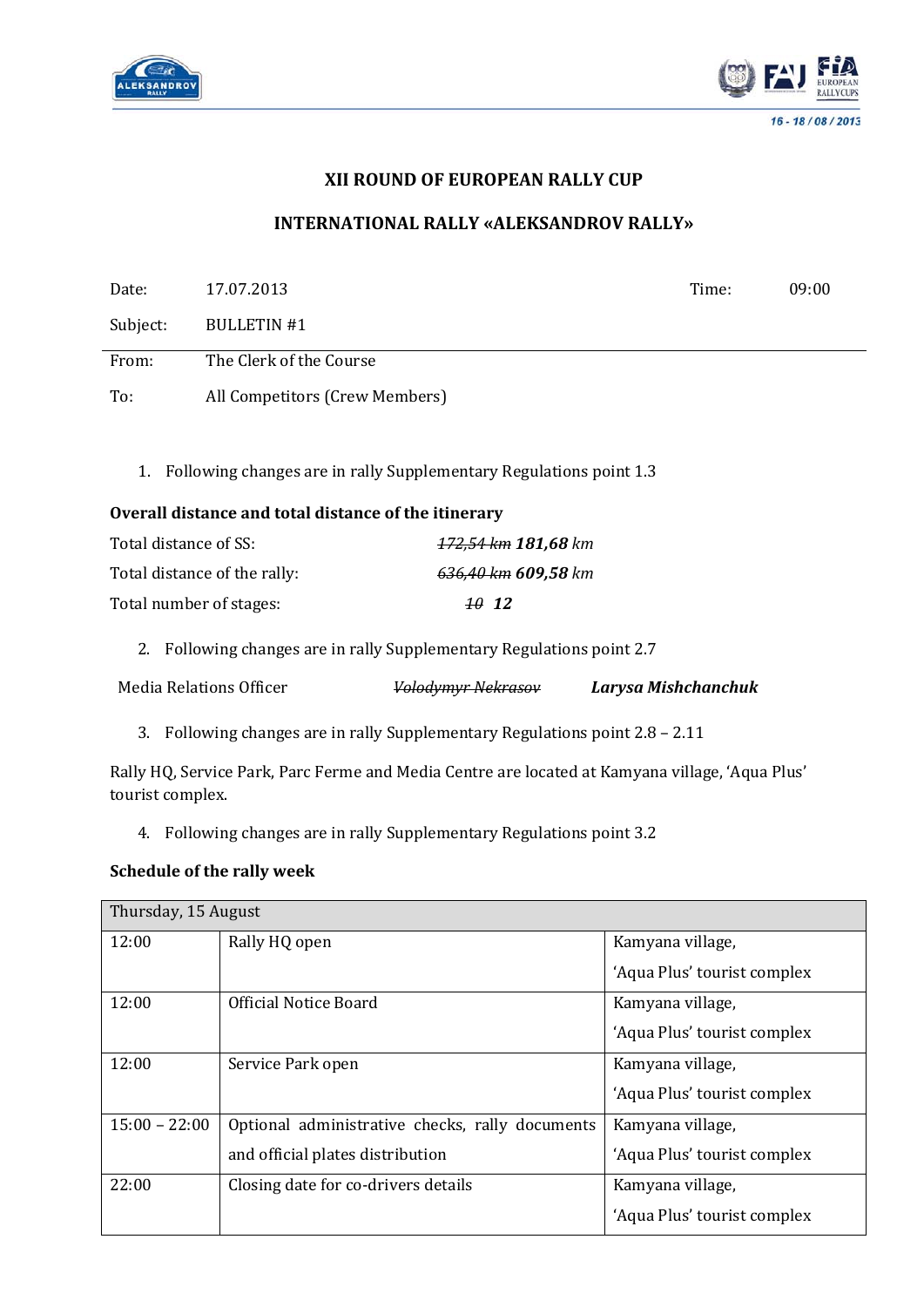



# **XII ROUND OF EUROPEAN RALLY CUP**

## **INTERNATIONAL RALLY «ALEKSANDROV RALLY»**

| Date:                                                                                                               | 17.07.2013                                                                |                                                                    | Time:               | 09:00 |
|---------------------------------------------------------------------------------------------------------------------|---------------------------------------------------------------------------|--------------------------------------------------------------------|---------------------|-------|
| Subject:                                                                                                            | <b>BULLETIN#1</b>                                                         |                                                                    |                     |       |
| From:                                                                                                               | The Clerk of the Course                                                   |                                                                    |                     |       |
| To:                                                                                                                 | All Competitors (Crew Members)                                            |                                                                    |                     |       |
|                                                                                                                     |                                                                           |                                                                    |                     |       |
| 1.                                                                                                                  |                                                                           | Following changes are in rally Supplementary Regulations point 1.3 |                     |       |
|                                                                                                                     | Overall distance and total distance of the itinerary                      |                                                                    |                     |       |
| Total distance of SS:                                                                                               |                                                                           | 172,54 km 181,68 km                                                |                     |       |
|                                                                                                                     | Total distance of the rally:                                              | 636,40 km 609,58 km                                                |                     |       |
| Total number of stages:                                                                                             |                                                                           | 1012                                                               |                     |       |
| 2.                                                                                                                  |                                                                           | Following changes are in rally Supplementary Regulations point 2.7 |                     |       |
| <b>Media Relations Officer</b>                                                                                      |                                                                           | <b>Volodymyr Nekrasov</b>                                          | Larysa Mishchanchuk |       |
| 3.                                                                                                                  | Following changes are in rally Supplementary Regulations point 2.8 - 2.11 |                                                                    |                     |       |
| Rally HQ, Service Park, Parc Ferme and Media Centre are located at Kamyana village, 'Aqua Plus'<br>tourist complex. |                                                                           |                                                                    |                     |       |
| 4.                                                                                                                  | Following changes are in rally Supplementary Regulations point 3.2        |                                                                    |                     |       |
| <b>Schedule of the rally week</b>                                                                                   |                                                                           |                                                                    |                     |       |
| Thursday, 15 August                                                                                                 |                                                                           |                                                                    |                     |       |

| 12:00           | Rally HQ open                                   | Kamyana village,            |
|-----------------|-------------------------------------------------|-----------------------------|
|                 |                                                 | 'Aqua Plus' tourist complex |
| 12:00           | Official Notice Board                           | Kamyana village,            |
|                 |                                                 | 'Aqua Plus' tourist complex |
| 12:00           | Service Park open                               | Kamyana village,            |
|                 |                                                 | 'Aqua Plus' tourist complex |
| $15:00 - 22:00$ | Optional administrative checks, rally documents | Kamyana village,            |
|                 | and official plates distribution                | 'Aqua Plus' tourist complex |
| 22:00           | Closing date for co-drivers details             | Kamyana village,            |
|                 |                                                 | 'Aqua Plus' tourist complex |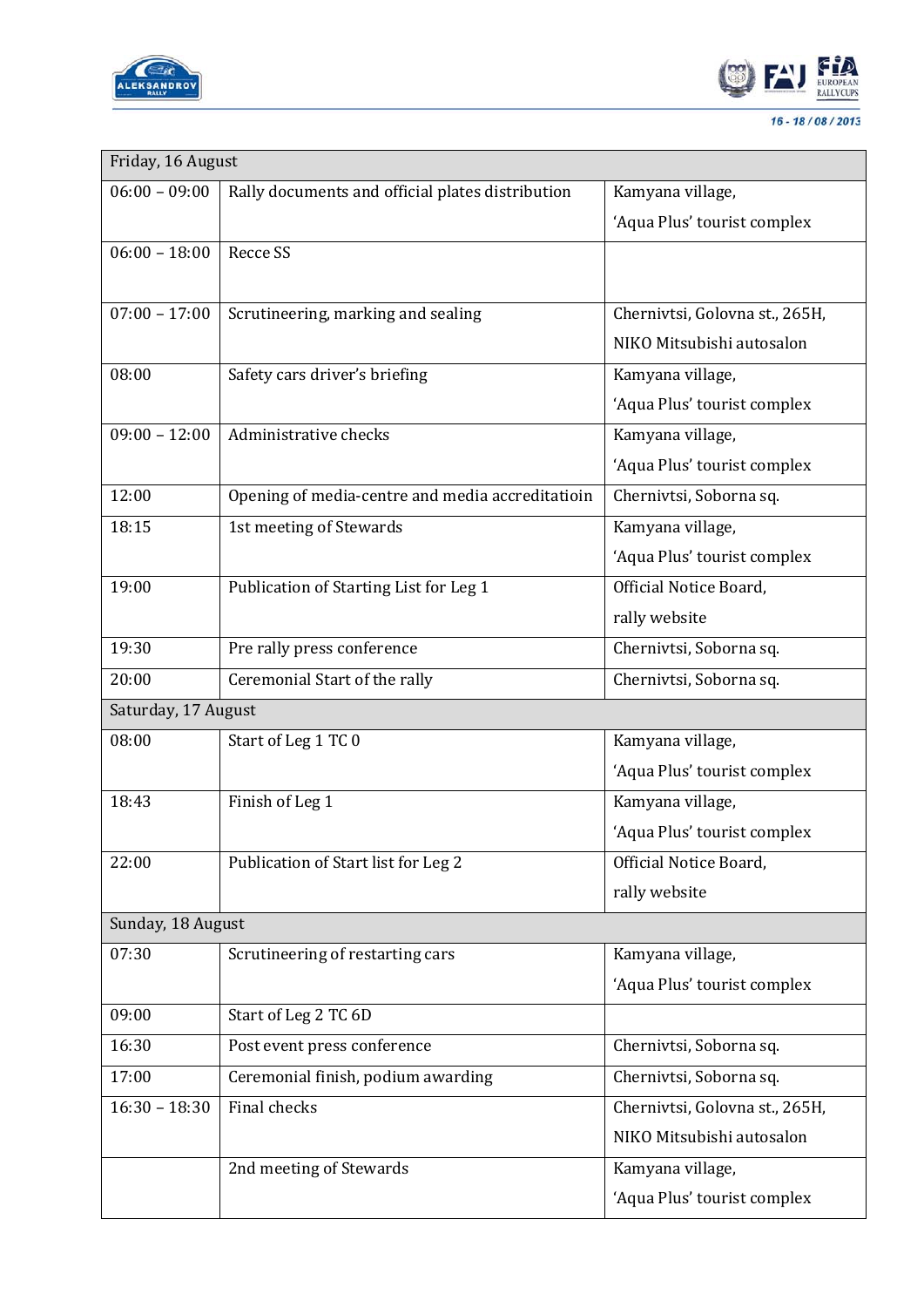



| Friday, 16 August   |                                                  |                                |  |  |
|---------------------|--------------------------------------------------|--------------------------------|--|--|
| $06:00 - 09:00$     | Rally documents and official plates distribution | Kamyana village,               |  |  |
|                     |                                                  | 'Aqua Plus' tourist complex    |  |  |
| $06:00 - 18:00$     | <b>Recce SS</b>                                  |                                |  |  |
|                     |                                                  |                                |  |  |
| $07:00 - 17:00$     | Scrutineering, marking and sealing               | Chernivtsi, Golovna st., 265H, |  |  |
|                     |                                                  | NIKO Mitsubishi autosalon      |  |  |
| 08:00               | Safety cars driver's briefing                    | Kamyana village,               |  |  |
|                     |                                                  | 'Aqua Plus' tourist complex    |  |  |
| $09:00 - 12:00$     | Administrative checks                            | Kamyana village,               |  |  |
|                     |                                                  | 'Aqua Plus' tourist complex    |  |  |
| 12:00               | Opening of media-centre and media accreditatioin | Chernivtsi, Soborna sq.        |  |  |
| 18:15               | 1st meeting of Stewards                          | Kamyana village,               |  |  |
|                     |                                                  | 'Aqua Plus' tourist complex    |  |  |
| 19:00               | Publication of Starting List for Leg 1           | Official Notice Board,         |  |  |
|                     |                                                  | rally website                  |  |  |
| 19:30               | Pre rally press conference                       | Chernivtsi, Soborna sq.        |  |  |
| 20:00               | Ceremonial Start of the rally                    | Chernivtsi, Soborna sq.        |  |  |
| Saturday, 17 August |                                                  |                                |  |  |
| 08:00               | Start of Leg 1 TC 0                              | Kamyana village,               |  |  |
|                     |                                                  | 'Aqua Plus' tourist complex    |  |  |
| 18:43               | Finish of Leg 1                                  | Kamyana village,               |  |  |
|                     |                                                  | 'Aqua Plus' tourist complex    |  |  |
| 22:00               | Publication of Start list for Leg 2              | Official Notice Board,         |  |  |
|                     |                                                  | rally website                  |  |  |
| Sunday, 18 August   |                                                  |                                |  |  |
| 07:30               | Scrutineering of restarting cars                 | Kamyana village,               |  |  |
|                     |                                                  | 'Aqua Plus' tourist complex    |  |  |
| 09:00               | Start of Leg 2 TC 6D                             |                                |  |  |
| 16:30               | Post event press conference                      | Chernivtsi, Soborna sq.        |  |  |
| 17:00               | Ceremonial finish, podium awarding               | Chernivtsi, Soborna sq.        |  |  |
| $16:30 - 18:30$     | Final checks                                     | Chernivtsi, Golovna st., 265H, |  |  |
|                     |                                                  | NIKO Mitsubishi autosalon      |  |  |
|                     | 2nd meeting of Stewards                          | Kamyana village,               |  |  |
|                     |                                                  | 'Aqua Plus' tourist complex    |  |  |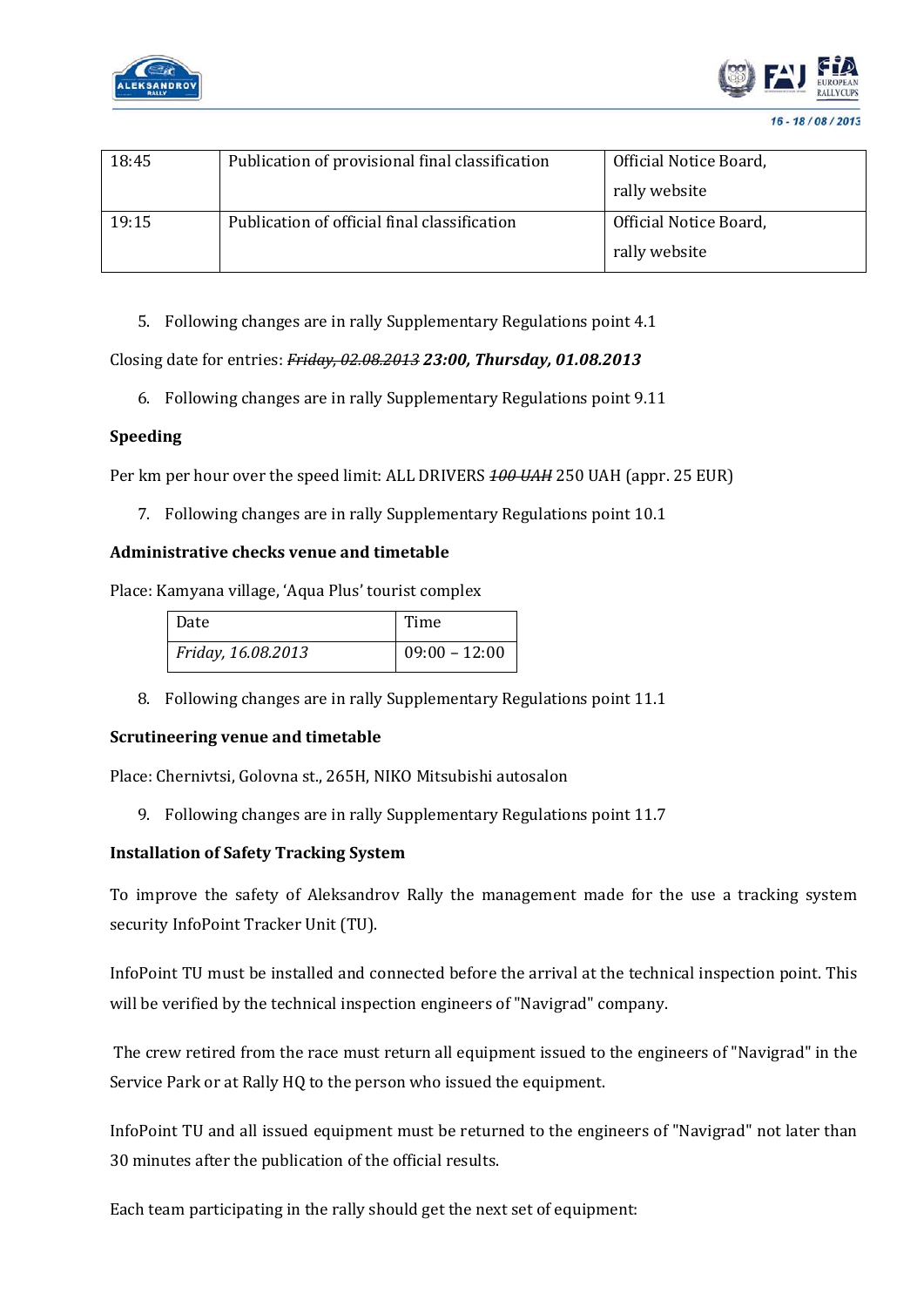



| 18:45 | Publication of provisional final classification | Official Notice Board, |
|-------|-------------------------------------------------|------------------------|
|       |                                                 | rally website          |
| 19:15 | Publication of official final classification    | Official Notice Board, |
|       |                                                 | rally website          |

5. Following changes are in rally Supplementary Regulations point 4.1

### Closing date for entries: *Friday, 02.08.2013 23:00, Thursday, 01.08.2013*

6. Following changes are in rally Supplementary Regulations point 9.11

### **Speeding**

Per km per hour over the speed limit: ALL DRIVERS *100 UAH* 250 UAH (appr. 25 EUR)

7. Following changes are in rally Supplementary Regulations point 10.1

#### **Administrative checks venue and timetable**

Place: Kamyana village, 'Aqua Plus' tourist complex

| Date               | Time            |
|--------------------|-----------------|
| Friday, 16.08.2013 | $09:00 - 12:00$ |

8. Following changes are in rally Supplementary Regulations point 11.1

#### **Scrutineering venue and timetable**

Place: Chernivtsi, Golovna st., 265H, NIKO Mitsubishi autosalon

9. Following changes are in rally Supplementary Regulations point 11.7

#### **Installation of Safety Tracking System**

To improve the safety of Aleksandrov Rally the management made for the use a tracking system security InfoPoint Tracker Unit (TU).

InfoPoint TU must be installed and connected before the arrival at the technical inspection point. This will be verified by the technical inspection engineers of "Navigrad" company.

The crew retired from the race must return all equipment issued to the engineers of "Navigrad" in the Service Park or at Rally HQ to the person who issued the equipment.

InfoPoint TU and all issued equipment must be returned to the engineers of "Navigrad" not later than 30 minutes after the publication of the official results.

Each team participating in the rally should get the next set of equipment: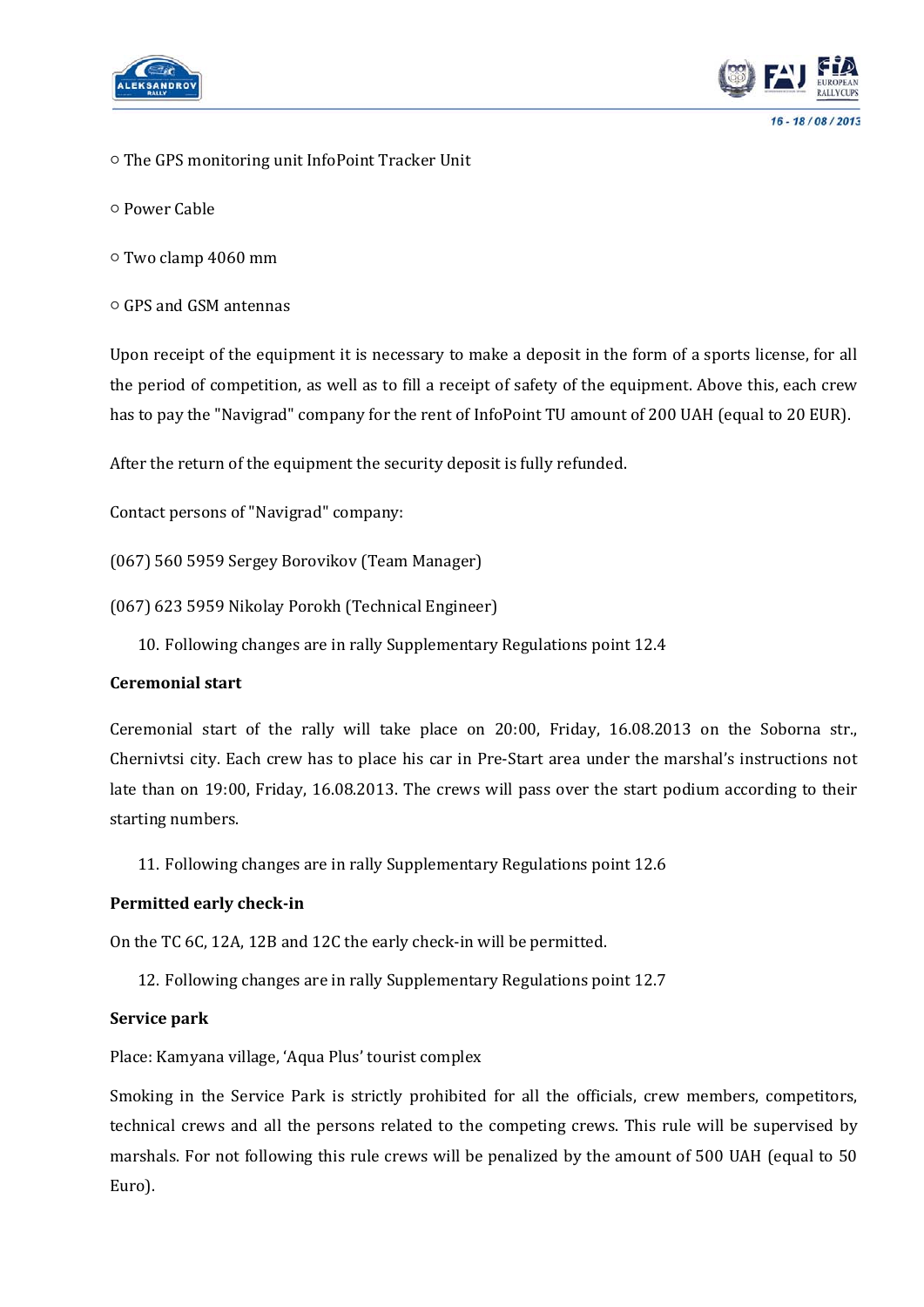



- The GPS monitoring unit InfoPoint Tracker Unit
- Power Cable
- Two clamp 4060 mm
- GPS and GSM antennas

Upon receipt of the equipment it is necessary to make a deposit in the form of a sports license, for all the period of competition, as well as to fill a receipt of safety of the equipment. Above this, each crew has to pay the "Navigrad" company for the rent of InfoPoint TU amount of 200 UAH (equal to 20 EUR).

After the return of the equipment the security deposit is fully refunded.

Contact persons of "Navigrad" company:

(067) 560 5959 Sergey Borovikov (Team Manager)

(067) 623 5959 Nikolay Porokh (Technical Engineer)

10. Following changes are in rally Supplementary Regulations point 12.4

#### **Ceremonial start**

Ceremonial start of the rally will take place on 20:00, Friday, 16.08.2013 on the Soborna str., Chernivtsi city. Each crew has to place his car in Pre-Start area under the marshal's instructions not late than on 19:00, Friday, 16.08.2013. The crews will pass over the start podium according to their starting numbers.

11. Following changes are in rally Supplementary Regulations point 12.6

#### **Permitted early check-in**

On the TC 6C, 12A, 12B and 12C the early check-in will be permitted.

12. Following changes are in rally Supplementary Regulations point 12.7

#### **Service park**

Place: Kamyana village, 'Aqua Plus' tourist complex

Smoking in the Service Park is strictly prohibited for all the officials, crew members, competitors, technical crews and all the persons related to the competing crews. This rule will be supervised by marshals. For not following this rule crews will be penalized by the amount of 500 UAH (equal to 50 Euro).